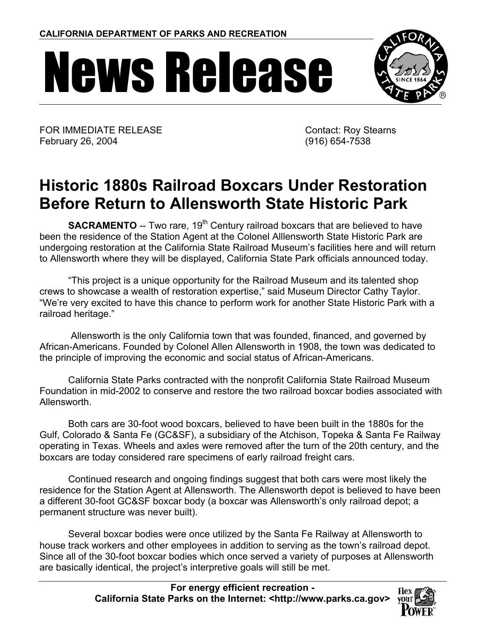## News Release



FOR IMMEDIATE RELEASE February 26, 2004

 Contact: Roy Stearns (916) 654-7538

## **Historic 1880s Railroad Boxcars Under Restoration Before Return to Allensworth State Historic Park**

**SACRAMENTO** -- Two rare, 19<sup>th</sup> Century railroad boxcars that are believed to have been the residence of the Station Agent at the Colonel Alllensworth State Historic Park are undergoing restoration at the California State Railroad Museum's facilities here and will return to Allensworth where they will be displayed, California State Park officials announced today.

"This project is a unique opportunity for the Railroad Museum and its talented shop crews to showcase a wealth of restoration expertise," said Museum Director Cathy Taylor. "We're very excited to have this chance to perform work for another State Historic Park with a railroad heritage."

 Allensworth is the only California town that was founded, financed, and governed by African-Americans. Founded by Colonel Allen Allensworth in 1908, the town was dedicated to the principle of improving the economic and social status of African-Americans.

California State Parks contracted with the nonprofit California State Railroad Museum Foundation in mid-2002 to conserve and restore the two railroad boxcar bodies associated with Allensworth.

Both cars are 30-foot wood boxcars, believed to have been built in the 1880s for the Gulf, Colorado & Santa Fe (GC&SF), a subsidiary of the Atchison, Topeka & Santa Fe Railway operating in Texas. Wheels and axles were removed after the turn of the 20th century, and the boxcars are today considered rare specimens of early railroad freight cars.

Continued research and ongoing findings suggest that both cars were most likely the residence for the Station Agent at Allensworth. The Allensworth depot is believed to have been a different 30-foot GC&SF boxcar body (a boxcar was Allensworth's only railroad depot; a permanent structure was never built).

Several boxcar bodies were once utilized by the Santa Fe Railway at Allensworth to house track workers and other employees in addition to serving as the town's railroad depot. Since all of the 30-foot boxcar bodies which once served a variety of purposes at Allensworth are basically identical, the project's interpretive goals will still be met.